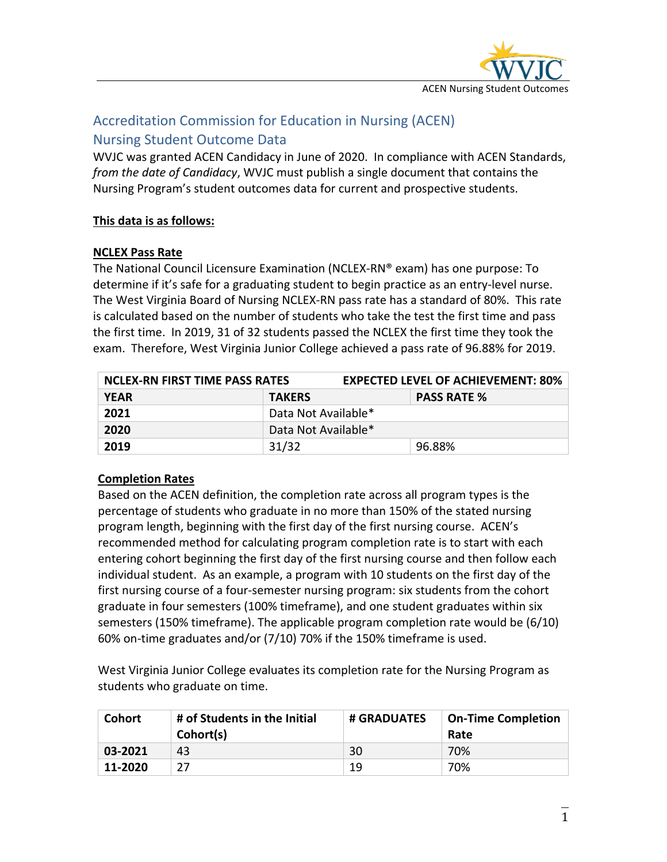

# Accreditation Commission for Education in Nursing (ACEN) Nursing Student Outcome Data

WVJC was granted ACEN Candidacy in June of 2020. In compliance with ACEN Standards, *from the date of Candidacy*, WVJC must publish a single document that contains the Nursing Program's student outcomes data for current and prospective students.

### **This data is as follows:**

### **NCLEX Pass Rate**

The National Council Licensure Examination (NCLEX-RN® exam) has one purpose: To determine if it's safe for a graduating student to begin practice as an entry-level nurse. The West Virginia Board of Nursing NCLEX-RN pass rate has a standard of 80%. This rate is calculated based on the number of students who take the test the first time and pass the first time. In 2019, 31 of 32 students passed the NCLEX the first time they took the exam. Therefore, West Virginia Junior College achieved a pass rate of 96.88% for 2019.

| NCLEX-RN FIRST TIME PASS RATES |                                     | <b>EXPECTED LEVEL OF ACHIEVEMENT: 80%</b> |  |  |
|--------------------------------|-------------------------------------|-------------------------------------------|--|--|
| <b>YEAR</b>                    | <b>PASS RATE %</b><br><b>TAKERS</b> |                                           |  |  |
| 2021                           | Data Not Available*                 |                                           |  |  |
| 2020                           | Data Not Available*                 |                                           |  |  |
| 2019                           | 31/32                               | 96.88%                                    |  |  |

## **Completion Rates**

Based on the ACEN definition, the completion rate across all program types is the percentage of students who graduate in no more than 150% of the stated nursing program length, beginning with the first day of the first nursing course. ACEN's recommended method for calculating program completion rate is to start with each entering cohort beginning the first day of the first nursing course and then follow each individual student. As an example, a program with 10 students on the first day of the first nursing course of a four-semester nursing program: six students from the cohort graduate in four semesters (100% timeframe), and one student graduates within six semesters (150% timeframe). The applicable program completion rate would be (6/10) 60% on-time graduates and/or (7/10) 70% if the 150% timeframe is used.

West Virginia Junior College evaluates its completion rate for the Nursing Program as students who graduate on time.

| <b>Cohort</b> | # of Students in the Initial<br>Cohort(s) | # GRADUATES | <b>On-Time Completion</b><br>Rate |
|---------------|-------------------------------------------|-------------|-----------------------------------|
| 03-2021       | 43                                        | 30          | 70%                               |
| 11-2020       |                                           | 19          | 70%                               |